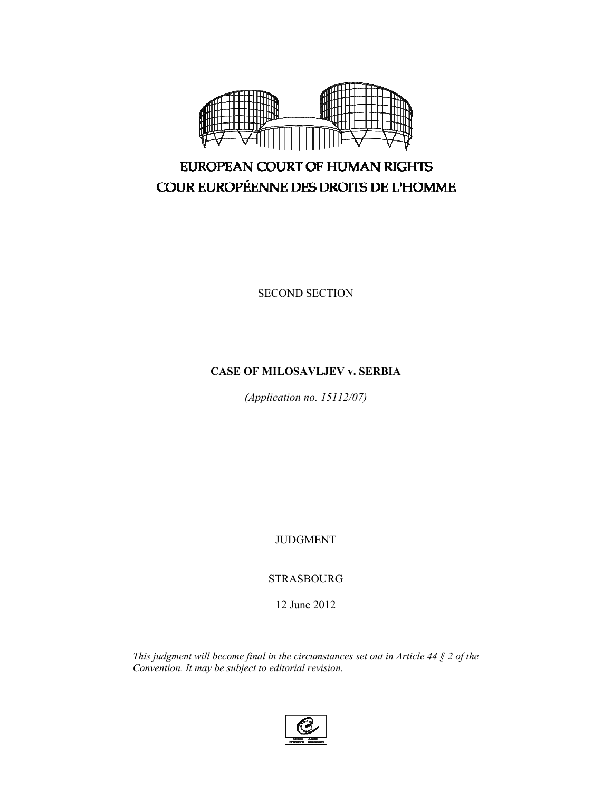

SECOND SECTION

## **CASE OF MILOSAVLJEV v. SERBIA**

*(Application no. 15112/07)* 

JUDGMENT

STRASBOURG

12 June 2012

*This judgment will become final in the circumstances set out in Article 44 § 2 of the Convention. It may be subject to editorial revision.* 

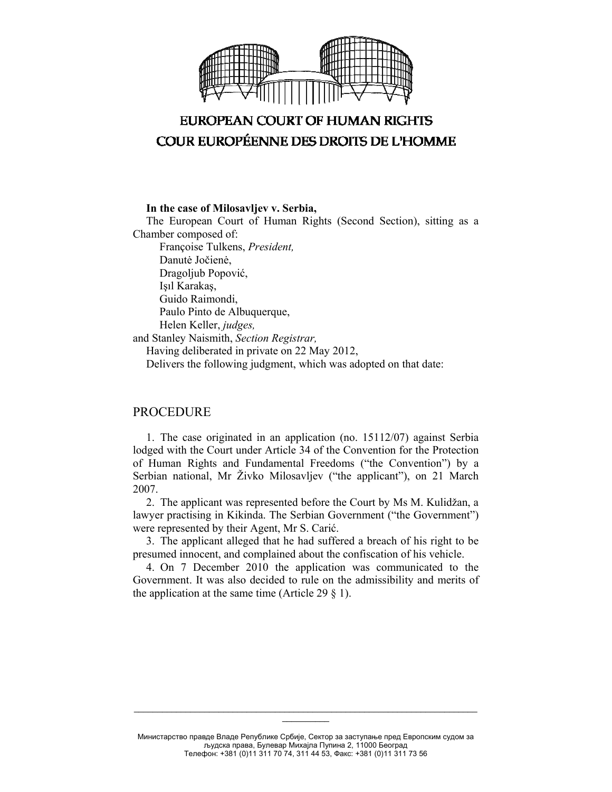

#### **In the case of Milosavljev v. Serbia,**

The European Court of Human Rights (Second Section), sitting as a Chamber composed of: Françoise Tulkens, *President,*  Danutė Jočienė, Dragoljub Popović, Işıl Karakaş, Guido Raimondi, Paulo Pinto de Albuquerque, Helen Keller, *judges,* and Stanley Naismith, *Section Registrar,*

Having deliberated in private on 22 May 2012, Delivers the following judgment, which was adopted on that date:

### PROCEDURE

1. The case originated in an application (no. 15112/07) against Serbia lodged with the Court under Article 34 of the Convention for the Protection of Human Rights and Fundamental Freedoms ("the Convention") by a Serbian national, Mr Živko Milosavljev ("the applicant"), on 21 March 2007.

2. The applicant was represented before the Court by Ms M. Kulidžan, a lawyer practising in Kikinda. The Serbian Government ("the Government") were represented by their Agent, Mr S. Carić.

3. The applicant alleged that he had suffered a breach of his right to be presumed innocent, and complained about the confiscation of his vehicle.

4. On 7 December 2010 the application was communicated to the Government. It was also decided to rule on the admissibility and merits of the application at the same time (Article 29  $\S$  1).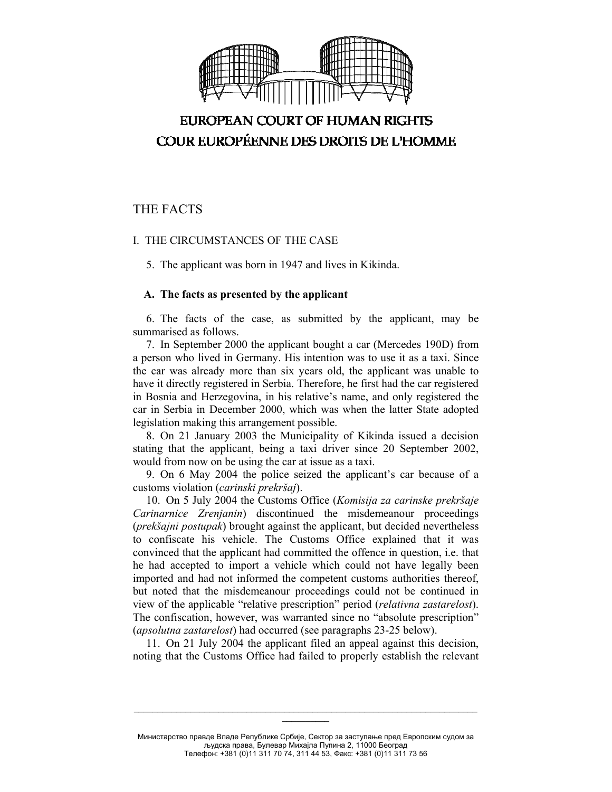

## THE FACTS

### I. THE CIRCUMSTANCES OF THE CASE

5. The applicant was born in 1947 and lives in Kikinda.

#### **A. The facts as presented by the applicant**

6. The facts of the case, as submitted by the applicant, may be summarised as follows.

7. In September 2000 the applicant bought a car (Mercedes 190D) from a person who lived in Germany. His intention was to use it as a taxi. Since the car was already more than six years old, the applicant was unable to have it directly registered in Serbia. Therefore, he first had the car registered in Bosnia and Herzegovina, in his relative's name, and only registered the car in Serbia in December 2000, which was when the latter State adopted legislation making this arrangement possible.

8. On 21 January 2003 the Municipality of Kikinda issued a decision stating that the applicant, being a taxi driver since 20 September 2002, would from now on be using the car at issue as a taxi.

9. On 6 May 2004 the police seized the applicant's car because of a customs violation (*carinski prekršaj*).

10. On 5 July 2004 the Customs Office (*Komisija za carinske prekršaje Carinarnice Zrenjanin*) discontinued the misdemeanour proceedings (*prekšajni postupak*) brought against the applicant, but decided nevertheless to confiscate his vehicle. The Customs Office explained that it was convinced that the applicant had committed the offence in question, i.e. that he had accepted to import a vehicle which could not have legally been imported and had not informed the competent customs authorities thereof, but noted that the misdemeanour proceedings could not be continued in view of the applicable "relative prescription" period (*relativna zastarelost*). The confiscation, however, was warranted since no "absolute prescription" (*apsolutna zastarelost*) had occurred (see paragraphs 23-25 below).

11. On 21 July 2004 the applicant filed an appeal against this decision, noting that the Customs Office had failed to properly establish the relevant

Министарство правде Владе Републике Србије, Сектор за заступање пред Европским судом за људска права, Булевар Михајла Пупина 2, 11000 Београд Телефон: +381 (0)11 311 70 74, 311 44 53, Факс: +381 (0)11 311 73 56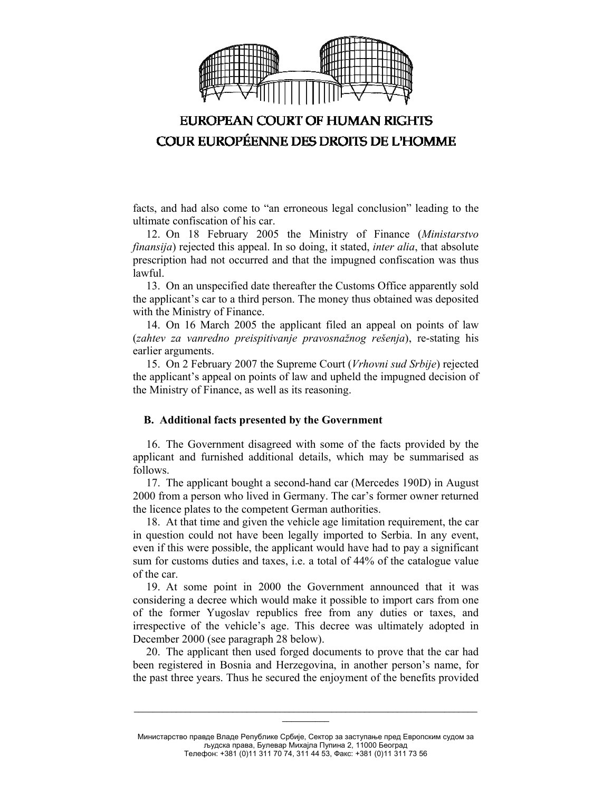

facts, and had also come to "an erroneous legal conclusion" leading to the ultimate confiscation of his car.

12. On 18 February 2005 the Ministry of Finance (*Ministarstvo finansija*) rejected this appeal. In so doing, it stated, *inter alia*, that absolute prescription had not occurred and that the impugned confiscation was thus lawful.

13. On an unspecified date thereafter the Customs Office apparently sold the applicant's car to a third person. The money thus obtained was deposited with the Ministry of Finance.

14. On 16 March 2005 the applicant filed an appeal on points of law (*zahtev za vanredno preispitivanje pravosnažnog rešenja*), re-stating his earlier arguments.

15. On 2 February 2007 the Supreme Court (*Vrhovni sud Srbije*) rejected the applicant's appeal on points of law and upheld the impugned decision of the Ministry of Finance, as well as its reasoning.

#### **B. Additional facts presented by the Government**

16. The Government disagreed with some of the facts provided by the applicant and furnished additional details, which may be summarised as follows.

17. The applicant bought a second-hand car (Mercedes 190D) in August 2000 from a person who lived in Germany. The car's former owner returned the licence plates to the competent German authorities.

18. At that time and given the vehicle age limitation requirement, the car in question could not have been legally imported to Serbia. In any event, even if this were possible, the applicant would have had to pay a significant sum for customs duties and taxes, i.e. a total of 44% of the catalogue value of the car.

19. At some point in 2000 the Government announced that it was considering a decree which would make it possible to import cars from one of the former Yugoslav republics free from any duties or taxes, and irrespective of the vehicle's age. This decree was ultimately adopted in December 2000 (see paragraph 28 below).

20. The applicant then used forged documents to prove that the car had been registered in Bosnia and Herzegovina, in another person's name, for the past three years. Thus he secured the enjoyment of the benefits provided

Министарство правде Владе Републике Србије, Сектор за заступање пред Европским судом за људска права, Булевар Михајла Пупина 2, 11000 Београд Телефон: +381 (0)11 311 70 74, 311 44 53, Факс: +381 (0)11 311 73 56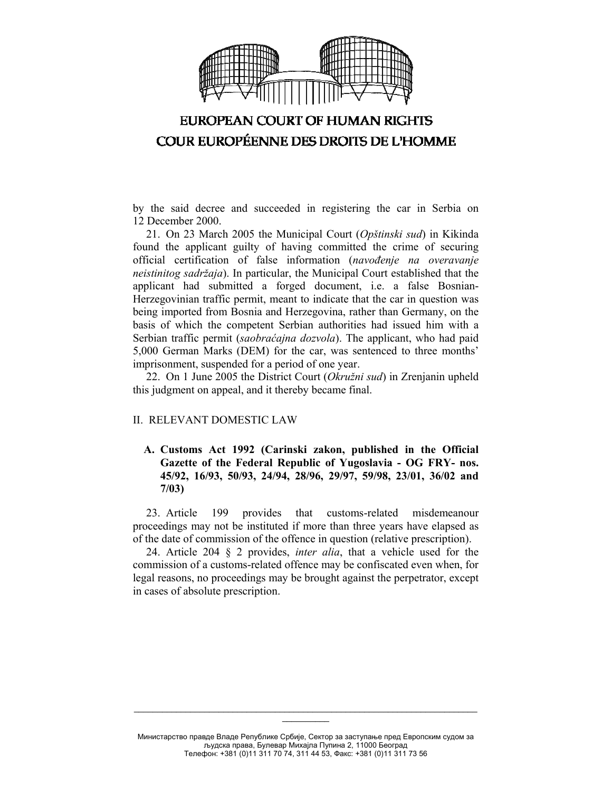

by the said decree and succeeded in registering the car in Serbia on 12 December 2000.

21. On 23 March 2005 the Municipal Court (*Opštinski sud*) in Kikinda found the applicant guilty of having committed the crime of securing official certification of false information (*navođenje na overavanje neistinitog sadržaja*). In particular, the Municipal Court established that the applicant had submitted a forged document, i.e. a false Bosnian-Herzegovinian traffic permit, meant to indicate that the car in question was being imported from Bosnia and Herzegovina, rather than Germany, on the basis of which the competent Serbian authorities had issued him with a Serbian traffic permit (*saobraćajna dozvola*). The applicant, who had paid 5,000 German Marks (DEM) for the car, was sentenced to three months' imprisonment, suspended for a period of one year.

22. On 1 June 2005 the District Court (*Okružni sud*) in Zrenjanin upheld this judgment on appeal, and it thereby became final.

### II. RELEVANT DOMESTIC LAW

**A. Customs Act 1992 (Carinski zakon, published in the Official Gazette of the Federal Republic of Yugoslavia - OG FRY- nos. 45/92, 16/93, 50/93, 24/94, 28/96, 29/97, 59/98, 23/01, 36/02 and 7/03)** 

23. Article 199 provides that customs-related misdemeanour proceedings may not be instituted if more than three years have elapsed as of the date of commission of the offence in question (relative prescription).

24. Article 204 § 2 provides, *inter alia*, that a vehicle used for the commission of a customs-related offence may be confiscated even when, for legal reasons, no proceedings may be brought against the perpetrator, except in cases of absolute prescription.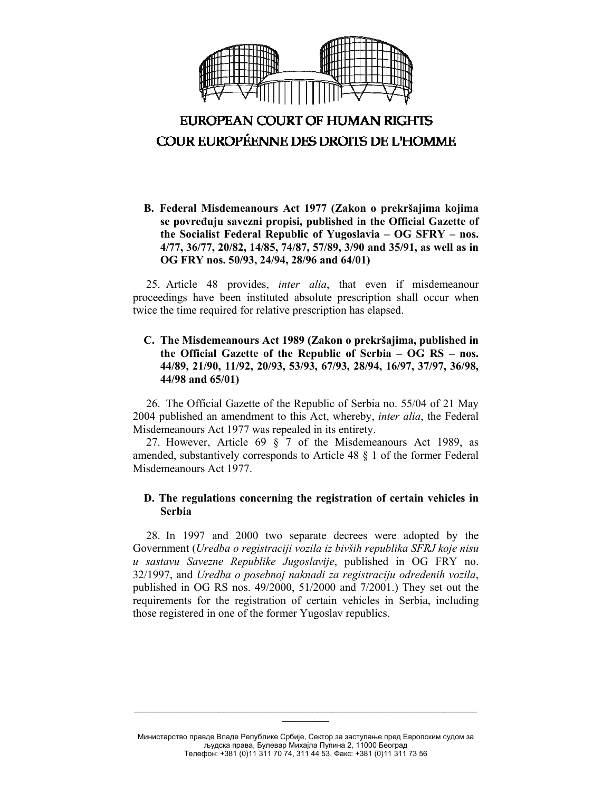

**B. Federal Misdemeanours Act 1977 (Zakon o prekršajima kojima se povređuju savezni propisi, published in the Official Gazette of the Socialist Federal Republic of Yugoslavia – OG SFRY – nos. 4/77, 36/77, 20/82, 14/85, 74/87, 57/89, 3/90 and 35/91, as well as in OG FRY nos. 50/93, 24/94, 28/96 and 64/01)** 

25. Article 48 provides, *inter alia*, that even if misdemeanour proceedings have been instituted absolute prescription shall occur when twice the time required for relative prescription has elapsed.

### **C. The Misdemeanours Act 1989 (Zakon o prekršajima, published in the Official Gazette of the Republic of Serbia – OG RS – nos. 44/89, 21/90, 11/92, 20/93, 53/93, 67/93, 28/94, 16/97, 37/97, 36/98, 44/98 and 65/01)**

26. The Official Gazette of the Republic of Serbia no. 55/04 of 21 May 2004 published an amendment to this Act, whereby, *inter alia*, the Federal Misdemeanours Act 1977 was repealed in its entirety.

27. However, Article 69 § 7 of the Misdemeanours Act 1989, as amended, substantively corresponds to Article 48 § 1 of the former Federal Misdemeanours Act 1977.

### **D. The regulations concerning the registration of certain vehicles in Serbia**

28. In 1997 and 2000 two separate decrees were adopted by the Government (*Uredba o registraciji vozila iz bivših republika SFRJ koje nisu u sastavu Savezne Republike Jugoslavije*, published in OG FRY no. 32/1997, and *Uredba o posebnoj naknadi za registraciju određenih vozila*, published in OG RS nos. 49/2000, 51/2000 and 7/2001.) They set out the requirements for the registration of certain vehicles in Serbia, including those registered in one of the former Yugoslav republics.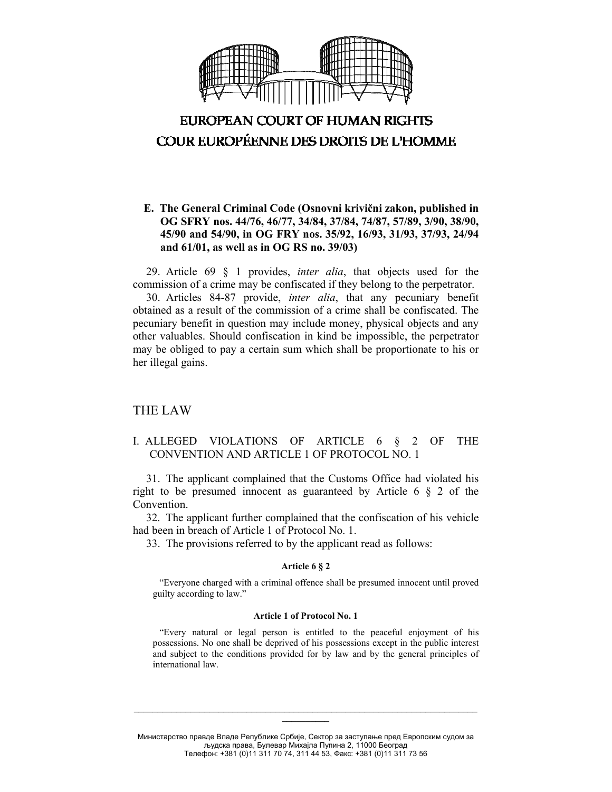

### **E. The General Criminal Code (Osnovni krivični zakon, published in OG SFRY nos. 44/76, 46/77, 34/84, 37/84, 74/87, 57/89, 3/90, 38/90, 45/90 and 54/90, in OG FRY nos. 35/92, 16/93, 31/93, 37/93, 24/94 and 61/01, as well as in OG RS no. 39/03)**

29. Article 69 § 1 provides, *inter alia*, that objects used for the commission of a crime may be confiscated if they belong to the perpetrator.

30. Articles 84-87 provide, *inter alia*, that any pecuniary benefit obtained as a result of the commission of a crime shall be confiscated. The pecuniary benefit in question may include money, physical objects and any other valuables. Should confiscation in kind be impossible, the perpetrator may be obliged to pay a certain sum which shall be proportionate to his or her illegal gains.

### THE LAW

### I. ALLEGED VIOLATIONS OF ARTICLE 6 § 2 OF THE CONVENTION AND ARTICLE 1 OF PROTOCOL NO. 1

31. The applicant complained that the Customs Office had violated his right to be presumed innocent as guaranteed by Article 6 § 2 of the Convention.

32. The applicant further complained that the confiscation of his vehicle had been in breach of Article 1 of Protocol No. 1.

33. The provisions referred to by the applicant read as follows:

#### **Article 6 § 2**

"Everyone charged with a criminal offence shall be presumed innocent until proved guilty according to law."

#### **Article 1 of Protocol No. 1**

"Every natural or legal person is entitled to the peaceful enjoyment of his possessions. No one shall be deprived of his possessions except in the public interest and subject to the conditions provided for by law and by the general principles of international law.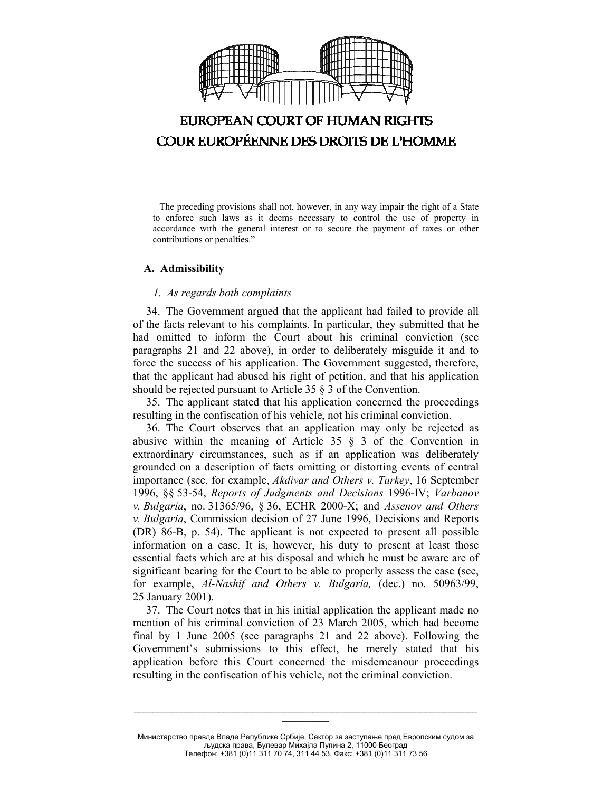

The preceding provisions shall not, however, in any way impair the right of a State to enforce such laws as it deems necessary to control the use of property in accordance with the general interest or to secure the payment of taxes or other contributions or penalties."

#### **A. Admissibility**

#### *1. As regards both complaints*

34. The Government argued that the applicant had failed to provide all of the facts relevant to his complaints. In particular, they submitted that he had omitted to inform the Court about his criminal conviction (see paragraphs 21 and 22 above), in order to deliberately misguide it and to force the success of his application. The Government suggested, therefore, that the applicant had abused his right of petition, and that his application should be rejected pursuant to Article 35 § 3 of the Convention.

35. The applicant stated that his application concerned the proceedings resulting in the confiscation of his vehicle, not his criminal conviction.

36. The Court observes that an application may only be rejected as abusive within the meaning of Article  $35 \tS 3$  of the Convention in extraordinary circumstances, such as if an application was deliberately grounded on a description of facts omitting or distorting events of central importance (see, for example, *Akdivar and Others v. Turkey*, 16 September 1996, §§ 53-54, *Reports of Judgments and Decisions* 1996-IV; *Varbanov v. Bulgaria*, no. 31365/96, § 36, ECHR 2000-X; and *Assenov and Others v. Bulgaria*, Commission decision of 27 June 1996, Decisions and Reports (DR) 86-B, p. 54). The applicant is not expected to present all possible information on a case. It is, however, his duty to present at least those essential facts which are at his disposal and which he must be aware are of significant bearing for the Court to be able to properly assess the case (see, for example, *Al-Nashif and Others v. Bulgaria,* (dec.) no. 50963/99, 25 January 2001).

37. The Court notes that in his initial application the applicant made no mention of his criminal conviction of 23 March 2005, which had become final by 1 June 2005 (see paragraphs 21 and 22 above). Following the Government's submissions to this effect, he merely stated that his application before this Court concerned the misdemeanour proceedings resulting in the confiscation of his vehicle, not the criminal conviction.

Министарство правде Владе Републике Србије, Сектор за заступање пред Европским судом за људска права, Булевар Михајла Пупина 2, 11000 Београд Телефон: +381 (0)11 311 70 74, 311 44 53, Факс: +381 (0)11 311 73 56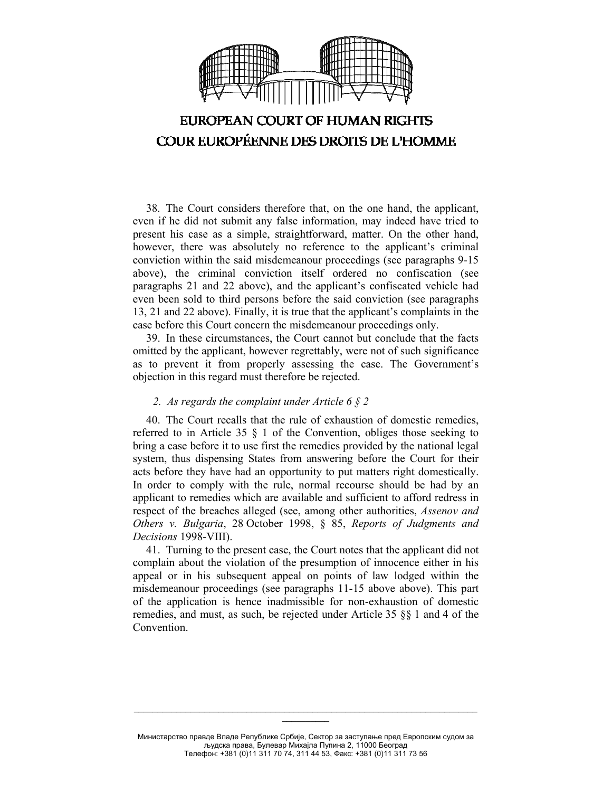

38. The Court considers therefore that, on the one hand, the applicant, even if he did not submit any false information, may indeed have tried to present his case as a simple, straightforward, matter. On the other hand, however, there was absolutely no reference to the applicant's criminal conviction within the said misdemeanour proceedings (see paragraphs 9-15 above), the criminal conviction itself ordered no confiscation (see paragraphs 21 and 22 above), and the applicant's confiscated vehicle had even been sold to third persons before the said conviction (see paragraphs 13, 21 and 22 above). Finally, it is true that the applicant's complaints in the case before this Court concern the misdemeanour proceedings only.

39. In these circumstances, the Court cannot but conclude that the facts omitted by the applicant, however regrettably, were not of such significance as to prevent it from properly assessing the case. The Government's objection in this regard must therefore be rejected.

### *2. As regards the complaint under Article 6 § 2*

40. The Court recalls that the rule of exhaustion of domestic remedies, referred to in Article 35 § 1 of the Convention, obliges those seeking to bring a case before it to use first the remedies provided by the national legal system, thus dispensing States from answering before the Court for their acts before they have had an opportunity to put matters right domestically. In order to comply with the rule, normal recourse should be had by an applicant to remedies which are available and sufficient to afford redress in respect of the breaches alleged (see, among other authorities, *Assenov and Others v. Bulgaria*, 28 October 1998, § 85, *Reports of Judgments and Decisions* 1998-VIII).

41. Turning to the present case, the Court notes that the applicant did not complain about the violation of the presumption of innocence either in his appeal or in his subsequent appeal on points of law lodged within the misdemeanour proceedings (see paragraphs 11-15 above above). This part of the application is hence inadmissible for non-exhaustion of domestic remedies, and must, as such, be rejected under Article 35 §§ 1 and 4 of the Convention.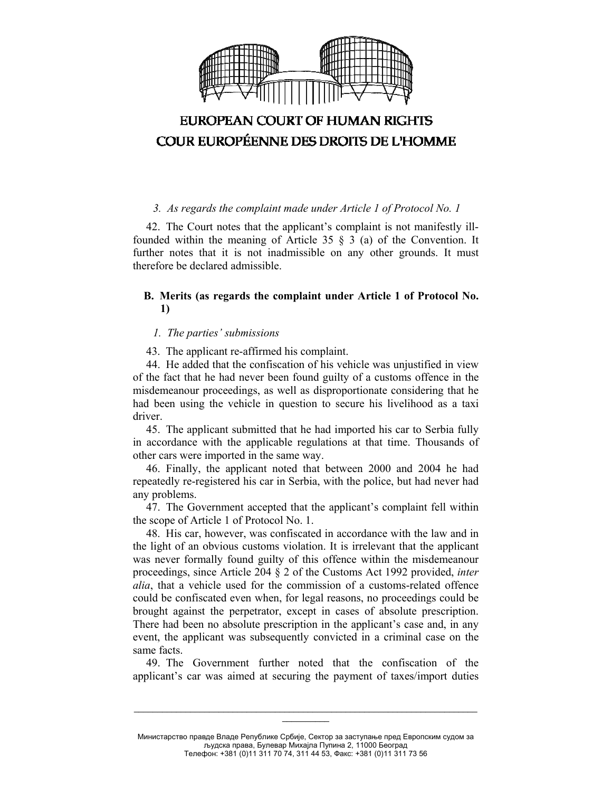

### *3. As regards the complaint made under Article 1 of Protocol No. 1*

42. The Court notes that the applicant's complaint is not manifestly illfounded within the meaning of Article 35 § 3 (a) of the Convention. It further notes that it is not inadmissible on any other grounds. It must therefore be declared admissible.

### **B. Merits (as regards the complaint under Article 1 of Protocol No. 1)**

#### *1. The parties' submissions*

43. The applicant re-affirmed his complaint.

44. He added that the confiscation of his vehicle was unjustified in view of the fact that he had never been found guilty of a customs offence in the misdemeanour proceedings, as well as disproportionate considering that he had been using the vehicle in question to secure his livelihood as a taxi driver.

45. The applicant submitted that he had imported his car to Serbia fully in accordance with the applicable regulations at that time. Thousands of other cars were imported in the same way.

46. Finally, the applicant noted that between 2000 and 2004 he had repeatedly re-registered his car in Serbia, with the police, but had never had any problems.

47. The Government accepted that the applicant's complaint fell within the scope of Article 1 of Protocol No. 1.

48. His car, however, was confiscated in accordance with the law and in the light of an obvious customs violation. It is irrelevant that the applicant was never formally found guilty of this offence within the misdemeanour proceedings, since Article 204 § 2 of the Customs Act 1992 provided, *inter alia*, that a vehicle used for the commission of a customs-related offence could be confiscated even when, for legal reasons, no proceedings could be brought against the perpetrator, except in cases of absolute prescription. There had been no absolute prescription in the applicant's case and, in any event, the applicant was subsequently convicted in a criminal case on the same facts.

49. The Government further noted that the confiscation of the applicant's car was aimed at securing the payment of taxes/import duties

Министарство правде Владе Републике Србије, Сектор за заступање пред Европским судом за људска права, Булевар Михајла Пупина 2, 11000 Београд Телефон: +381 (0)11 311 70 74, 311 44 53, Факс: +381 (0)11 311 73 56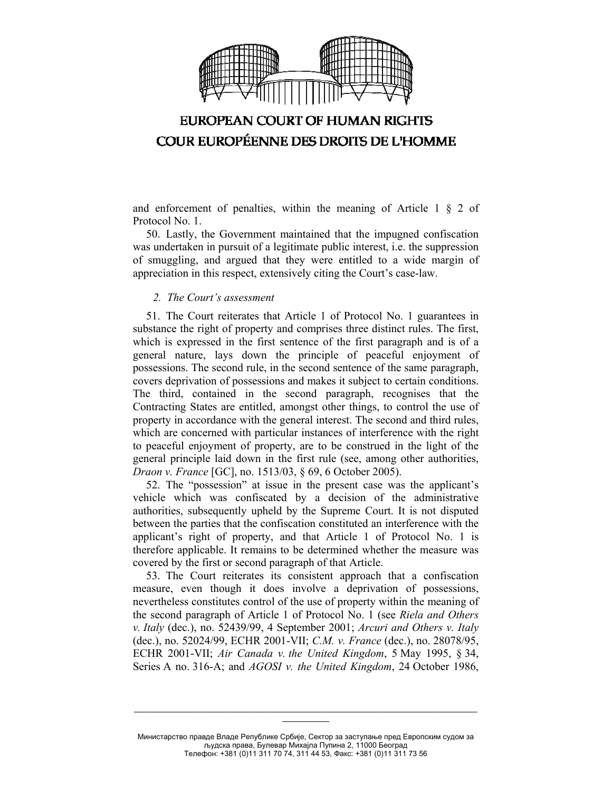

and enforcement of penalties, within the meaning of Article  $1 \S 2$  of Protocol No. 1.

50. Lastly, the Government maintained that the impugned confiscation was undertaken in pursuit of a legitimate public interest, i.e. the suppression of smuggling, and argued that they were entitled to a wide margin of appreciation in this respect, extensively citing the Court's case-law.

### *2. The Court's assessment*

51. The Court reiterates that Article 1 of Protocol No. 1 guarantees in substance the right of property and comprises three distinct rules. The first, which is expressed in the first sentence of the first paragraph and is of a general nature, lays down the principle of peaceful enjoyment of possessions. The second rule, in the second sentence of the same paragraph, covers deprivation of possessions and makes it subject to certain conditions. The third, contained in the second paragraph, recognises that the Contracting States are entitled, amongst other things, to control the use of property in accordance with the general interest. The second and third rules, which are concerned with particular instances of interference with the right to peaceful enjoyment of property, are to be construed in the light of the general principle laid down in the first rule (see, among other authorities, *Draon v. France* [GC], no. 1513/03, § 69, 6 October 2005).

52. The "possession" at issue in the present case was the applicant's vehicle which was confiscated by a decision of the administrative authorities, subsequently upheld by the Supreme Court. It is not disputed between the parties that the confiscation constituted an interference with the applicant's right of property, and that Article 1 of Protocol No. 1 is therefore applicable. It remains to be determined whether the measure was covered by the first or second paragraph of that Article.

53. The Court reiterates its consistent approach that a confiscation measure, even though it does involve a deprivation of possessions, nevertheless constitutes control of the use of property within the meaning of the second paragraph of Article 1 of Protocol No. 1 (see *Riela and Others v. Italy* (dec.), no. 52439/99, 4 September 2001; *Arcuri and Others v. Italy* (dec.), no. 52024/99, ECHR 2001-VII; *C.M. v. France* (dec.), no. 28078/95, ECHR 2001-VII; *Air Canada v. the United Kingdom*, 5 May 1995, § 34, Series A no. 316-A; and *AGOSI v. the United Kingdom*, 24 October 1986,

Министарство правде Владе Републике Србије, Сектор за заступање пред Европским судом за људска права, Булевар Михајла Пупина 2, 11000 Београд Телефон: +381 (0)11 311 70 74, 311 44 53, Факс: +381 (0)11 311 73 56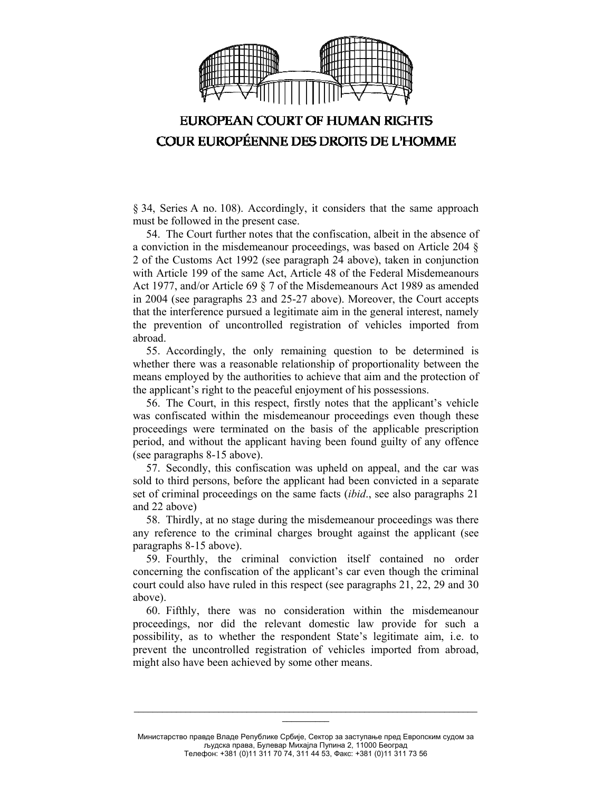

§ 34, Series A no. 108). Accordingly, it considers that the same approach must be followed in the present case.

54. The Court further notes that the confiscation, albeit in the absence of a conviction in the misdemeanour proceedings, was based on Article 204 § 2 of the Customs Act 1992 (see paragraph 24 above), taken in conjunction with Article 199 of the same Act, Article 48 of the Federal Misdemeanours Act 1977, and/or Article 69 § 7 of the Misdemeanours Act 1989 as amended in 2004 (see paragraphs 23 and 25-27 above). Moreover, the Court accepts that the interference pursued a legitimate aim in the general interest, namely the prevention of uncontrolled registration of vehicles imported from abroad.

55. Accordingly, the only remaining question to be determined is whether there was a reasonable relationship of proportionality between the means employed by the authorities to achieve that aim and the protection of the applicant's right to the peaceful enjoyment of his possessions.

56. The Court, in this respect, firstly notes that the applicant's vehicle was confiscated within the misdemeanour proceedings even though these proceedings were terminated on the basis of the applicable prescription period, and without the applicant having been found guilty of any offence (see paragraphs 8-15 above).

57. Secondly, this confiscation was upheld on appeal, and the car was sold to third persons, before the applicant had been convicted in a separate set of criminal proceedings on the same facts (*ibid*., see also paragraphs 21 and 22 above)

58. Thirdly, at no stage during the misdemeanour proceedings was there any reference to the criminal charges brought against the applicant (see paragraphs 8-15 above).

59. Fourthly, the criminal conviction itself contained no order concerning the confiscation of the applicant's car even though the criminal court could also have ruled in this respect (see paragraphs 21, 22, 29 and 30 above).

60. Fifthly, there was no consideration within the misdemeanour proceedings, nor did the relevant domestic law provide for such a possibility, as to whether the respondent State's legitimate aim, i.e. to prevent the uncontrolled registration of vehicles imported from abroad, might also have been achieved by some other means.

Министарство правде Владе Републике Србије, Сектор за заступање пред Европским судом за људска права, Булевар Михајла Пупина 2, 11000 Београд Телефон: +381 (0)11 311 70 74, 311 44 53, Факс: +381 (0)11 311 73 56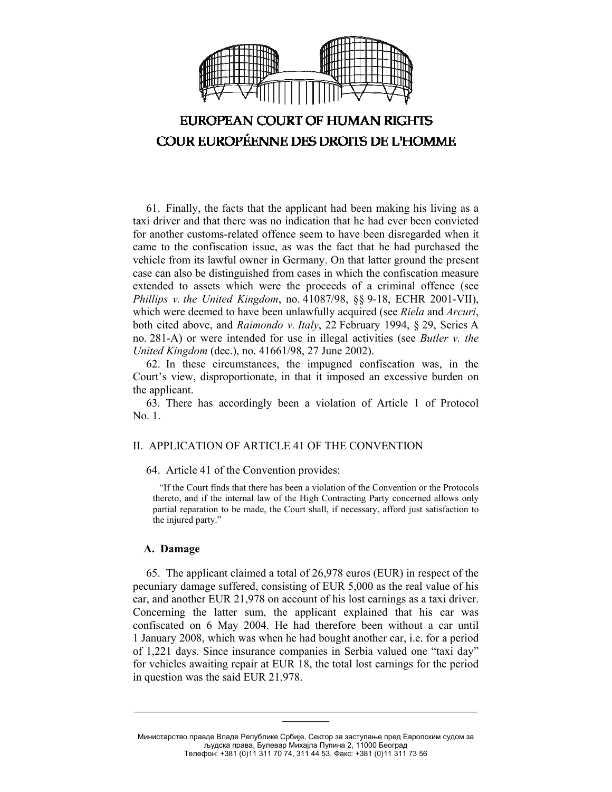

61. Finally, the facts that the applicant had been making his living as a taxi driver and that there was no indication that he had ever been convicted for another customs-related offence seem to have been disregarded when it came to the confiscation issue, as was the fact that he had purchased the vehicle from its lawful owner in Germany. On that latter ground the present case can also be distinguished from cases in which the confiscation measure extended to assets which were the proceeds of a criminal offence (see *Phillips v. the United Kingdom*, no. 41087/98, §§ 9-18, ECHR 2001-VII), which were deemed to have been unlawfully acquired (see *Riela* and *Arcuri*, both cited above, and *Raimondo v. Italy*, 22 February 1994, § 29, Series A no. 281-A) or were intended for use in illegal activities (see *Butler v. the United Kingdom* (dec.), no. 41661/98, 27 June 2002).

62. In these circumstances, the impugned confiscation was, in the Court's view, disproportionate, in that it imposed an excessive burden on the applicant.

63. There has accordingly been a violation of Article 1 of Protocol No. 1.

### II. APPLICATION OF ARTICLE 41 OF THE CONVENTION

64. Article 41 of the Convention provides:

"If the Court finds that there has been a violation of the Convention or the Protocols thereto, and if the internal law of the High Contracting Party concerned allows only partial reparation to be made, the Court shall, if necessary, afford just satisfaction to the injured party."

#### **A. Damage**

65. The applicant claimed a total of 26,978 euros (EUR) in respect of the pecuniary damage suffered, consisting of EUR 5,000 as the real value of his car, and another EUR 21,978 on account of his lost earnings as a taxi driver. Concerning the latter sum, the applicant explained that his car was confiscated on 6 May 2004. He had therefore been without a car until 1 January 2008, which was when he had bought another car, i.e. for a period of 1,221 days. Since insurance companies in Serbia valued one "taxi day" for vehicles awaiting repair at EUR 18, the total lost earnings for the period in question was the said EUR 21,978.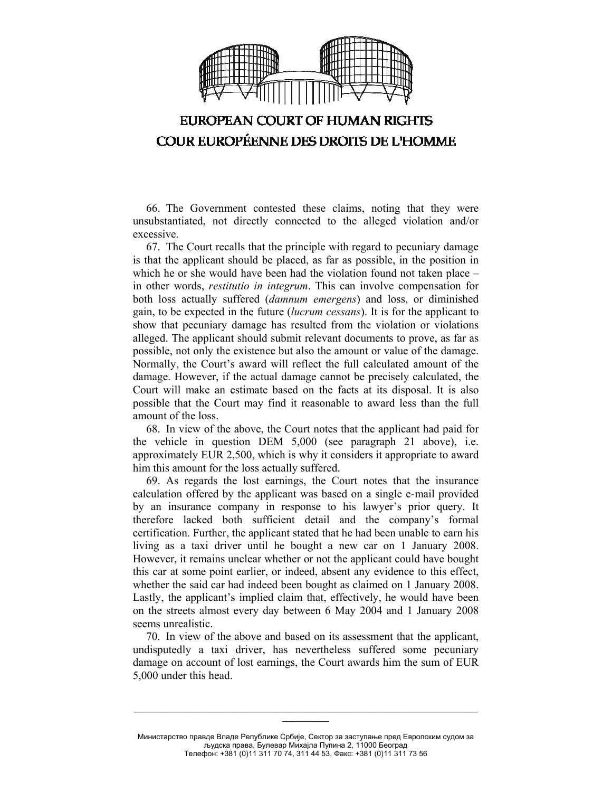

66. The Government contested these claims, noting that they were unsubstantiated, not directly connected to the alleged violation and/or excessive.

67. The Court recalls that the principle with regard to pecuniary damage is that the applicant should be placed, as far as possible, in the position in which he or she would have been had the violation found not taken place – in other words, *restitutio in integrum*. This can involve compensation for both loss actually suffered (*damnum emergens*) and loss, or diminished gain, to be expected in the future (*lucrum cessans*). It is for the applicant to show that pecuniary damage has resulted from the violation or violations alleged. The applicant should submit relevant documents to prove, as far as possible, not only the existence but also the amount or value of the damage. Normally, the Court's award will reflect the full calculated amount of the damage. However, if the actual damage cannot be precisely calculated, the Court will make an estimate based on the facts at its disposal. It is also possible that the Court may find it reasonable to award less than the full amount of the loss.

68. In view of the above, the Court notes that the applicant had paid for the vehicle in question DEM 5,000 (see paragraph 21 above), i.e. approximately EUR 2,500, which is why it considers it appropriate to award him this amount for the loss actually suffered.

69. As regards the lost earnings, the Court notes that the insurance calculation offered by the applicant was based on a single e-mail provided by an insurance company in response to his lawyer's prior query. It therefore lacked both sufficient detail and the company's formal certification. Further, the applicant stated that he had been unable to earn his living as a taxi driver until he bought a new car on 1 January 2008. However, it remains unclear whether or not the applicant could have bought this car at some point earlier, or indeed, absent any evidence to this effect, whether the said car had indeed been bought as claimed on 1 January 2008. Lastly, the applicant's implied claim that, effectively, he would have been on the streets almost every day between 6 May 2004 and 1 January 2008 seems unrealistic.

70. In view of the above and based on its assessment that the applicant, undisputedly a taxi driver, has nevertheless suffered some pecuniary damage on account of lost earnings, the Court awards him the sum of EUR 5,000 under this head.

Министарство правде Владе Републике Србије, Сектор за заступање пред Европским судом за људска права, Булевар Михајла Пупина 2, 11000 Београд Телефон: +381 (0)11 311 70 74, 311 44 53, Факс: +381 (0)11 311 73 56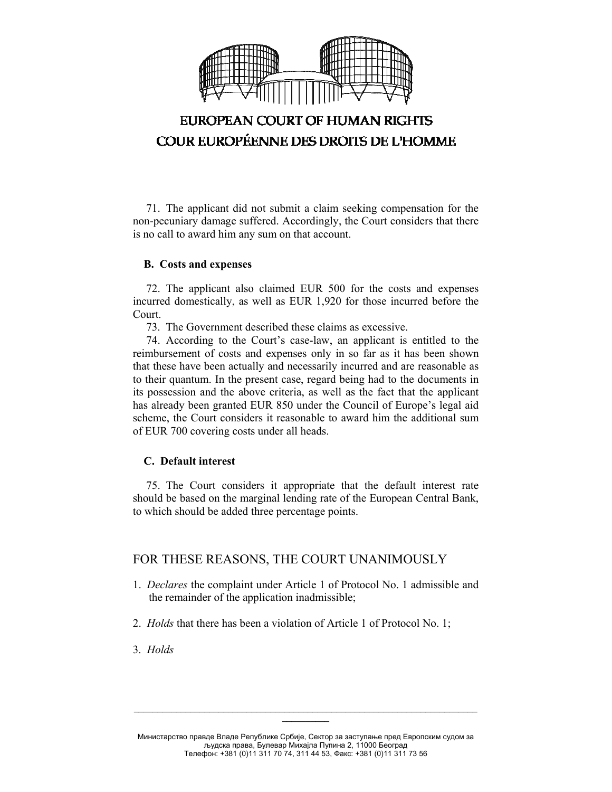

71. The applicant did not submit a claim seeking compensation for the non-pecuniary damage suffered. Accordingly, the Court considers that there is no call to award him any sum on that account.

### **B. Costs and expenses**

72. The applicant also claimed EUR 500 for the costs and expenses incurred domestically, as well as EUR 1,920 for those incurred before the Court.

73. The Government described these claims as excessive.

74. According to the Court's case-law, an applicant is entitled to the reimbursement of costs and expenses only in so far as it has been shown that these have been actually and necessarily incurred and are reasonable as to their quantum. In the present case, regard being had to the documents in its possession and the above criteria, as well as the fact that the applicant has already been granted EUR 850 under the Council of Europe's legal aid scheme, the Court considers it reasonable to award him the additional sum of EUR 700 covering costs under all heads.

### **C. Default interest**

75. The Court considers it appropriate that the default interest rate should be based on the marginal lending rate of the European Central Bank, to which should be added three percentage points.

### FOR THESE REASONS, THE COURT UNANIMOUSLY

- 1. *Declares* the complaint under Article 1 of Protocol No. 1 admissible and the remainder of the application inadmissible;
- 2. *Holds* that there has been a violation of Article 1 of Protocol No. 1;
- 3. *Holds*